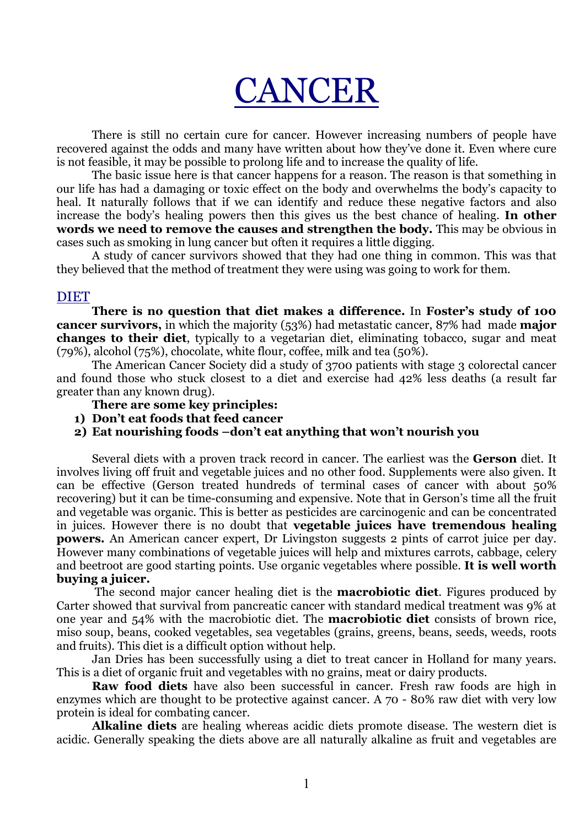# CANCER

 There is still no certain cure for cancer. However increasing numbers of people have recovered against the odds and many have written about how they've done it. Even where cure is not feasible, it may be possible to prolong life and to increase the quality of life.

 The basic issue here is that cancer happens for a reason. The reason is that something in our life has had a damaging or toxic effect on the body and overwhelms the body's capacity to heal. It naturally follows that if we can identify and reduce these negative factors and also increase the body's healing powers then this gives us the best chance of healing. In other words we need to remove the causes and strengthen the body. This may be obvious in cases such as smoking in lung cancer but often it requires a little digging.

A study of cancer survivors showed that they had one thing in common. This was that they believed that the method of treatment they were using was going to work for them.

# DIET

There is no question that diet makes a difference. In Foster's study of 100 cancer survivors, in which the majority (53%) had metastatic cancer, 87% had made major changes to their diet, typically to a vegetarian diet, eliminating tobacco, sugar and meat (79%), alcohol (75%), chocolate, white flour, coffee, milk and tea (50%).

 The American Cancer Society did a study of 3700 patients with stage 3 colorectal cancer and found those who stuck closest to a diet and exercise had 42% less deaths (a result far greater than any known drug).

- There are some key principles:
- 1) Don't eat foods that feed cancer
- 2) Eat nourishing foods –don't eat anything that won't nourish you

Several diets with a proven track record in cancer. The earliest was the Gerson diet. It involves living off fruit and vegetable juices and no other food. Supplements were also given. It can be effective (Gerson treated hundreds of terminal cases of cancer with about 50% recovering) but it can be time-consuming and expensive. Note that in Gerson's time all the fruit and vegetable was organic. This is better as pesticides are carcinogenic and can be concentrated in juices. However there is no doubt that vegetable juices have tremendous healing powers. An American cancer expert, Dr Livingston suggests 2 pints of carrot juice per day. However many combinations of vegetable juices will help and mixtures carrots, cabbage, celery and beetroot are good starting points. Use organic vegetables where possible. It is well worth buying a juicer.

The second major cancer healing diet is the **macrobiotic diet**. Figures produced by Carter showed that survival from pancreatic cancer with standard medical treatment was 9% at one year and 54% with the macrobiotic diet. The **macrobiotic diet** consists of brown rice, miso soup, beans, cooked vegetables, sea vegetables (grains, greens, beans, seeds, weeds, roots and fruits). This diet is a difficult option without help.

 Jan Dries has been successfully using a diet to treat cancer in Holland for many years. This is a diet of organic fruit and vegetables with no grains, meat or dairy products.

Raw food diets have also been successful in cancer. Fresh raw foods are high in enzymes which are thought to be protective against cancer. A 70 - 80% raw diet with very low protein is ideal for combating cancer.

Alkaline diets are healing whereas acidic diets promote disease. The western diet is acidic. Generally speaking the diets above are all naturally alkaline as fruit and vegetables are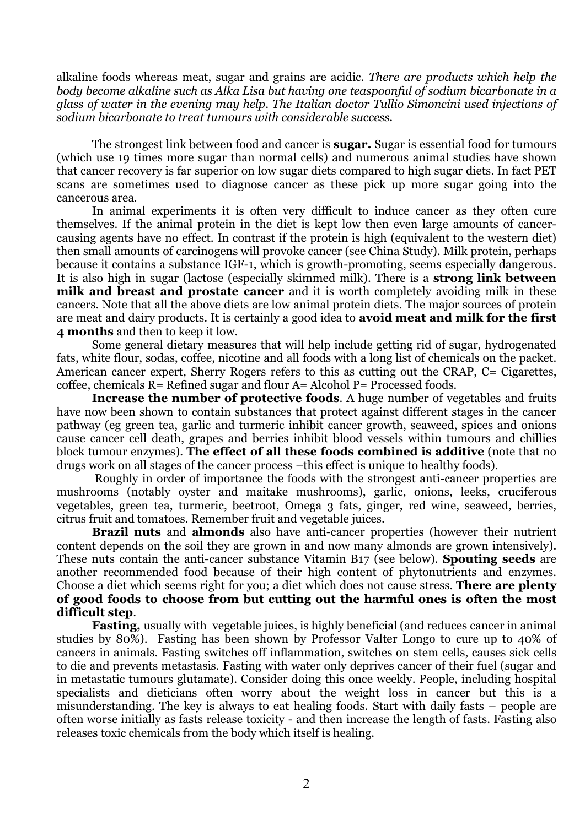alkaline foods whereas meat, sugar and grains are acidic. There are products which help the body become alkaline such as Alka Lisa but having one teaspoonful of sodium bicarbonate in a glass of water in the evening may help. The Italian doctor Tullio Simoncini used injections of sodium bicarbonate to treat tumours with considerable success.

The strongest link between food and cancer is **sugar.** Sugar is essential food for tumours (which use 19 times more sugar than normal cells) and numerous animal studies have shown that cancer recovery is far superior on low sugar diets compared to high sugar diets. In fact PET scans are sometimes used to diagnose cancer as these pick up more sugar going into the cancerous area.

 In animal experiments it is often very difficult to induce cancer as they often cure themselves. If the animal protein in the diet is kept low then even large amounts of cancercausing agents have no effect. In contrast if the protein is high (equivalent to the western diet) then small amounts of carcinogens will provoke cancer (see China Study). Milk protein, perhaps because it contains a substance IGF-1, which is growth-promoting, seems especially dangerous. It is also high in sugar (lactose (especially skimmed milk). There is a **strong link between** milk and breast and prostate cancer and it is worth completely avoiding milk in these cancers. Note that all the above diets are low animal protein diets. The major sources of protein are meat and dairy products. It is certainly a good idea to **avoid meat and milk for the first** 4 months and then to keep it low.

 Some general dietary measures that will help include getting rid of sugar, hydrogenated fats, white flour, sodas, coffee, nicotine and all foods with a long list of chemicals on the packet. American cancer expert, Sherry Rogers refers to this as cutting out the CRAP, C= Cigarettes, coffee, chemicals  $R =$  Refined sugar and flour  $A =$  Alcohol P= Processed foods.

Increase the number of protective foods. A huge number of vegetables and fruits have now been shown to contain substances that protect against different stages in the cancer pathway (eg green tea, garlic and turmeric inhibit cancer growth, seaweed, spices and onions cause cancer cell death, grapes and berries inhibit blood vessels within tumours and chillies block tumour enzymes). The effect of all these foods combined is additive (note that no drugs work on all stages of the cancer process –this effect is unique to healthy foods).

 Roughly in order of importance the foods with the strongest anti-cancer properties are mushrooms (notably oyster and maitake mushrooms), garlic, onions, leeks, cruciferous vegetables, green tea, turmeric, beetroot, Omega 3 fats, ginger, red wine, seaweed, berries, citrus fruit and tomatoes. Remember fruit and vegetable juices.

Brazil nuts and almonds also have anti-cancer properties (however their nutrient content depends on the soil they are grown in and now many almonds are grown intensively). These nuts contain the anti-cancer substance Vitamin B17 (see below). **Spouting seeds** are another recommended food because of their high content of phytonutrients and enzymes. Choose a diet which seems right for you; a diet which does not cause stress. There are plenty of good foods to choose from but cutting out the harmful ones is often the most difficult step.

Fasting, usually with vegetable juices, is highly beneficial (and reduces cancer in animal studies by 80%). Fasting has been shown by Professor Valter Longo to cure up to 40% of cancers in animals. Fasting switches off inflammation, switches on stem cells, causes sick cells to die and prevents metastasis. Fasting with water only deprives cancer of their fuel (sugar and in metastatic tumours glutamate). Consider doing this once weekly. People, including hospital specialists and dieticians often worry about the weight loss in cancer but this is a misunderstanding. The key is always to eat healing foods. Start with daily fasts – people are often worse initially as fasts release toxicity - and then increase the length of fasts. Fasting also releases toxic chemicals from the body which itself is healing.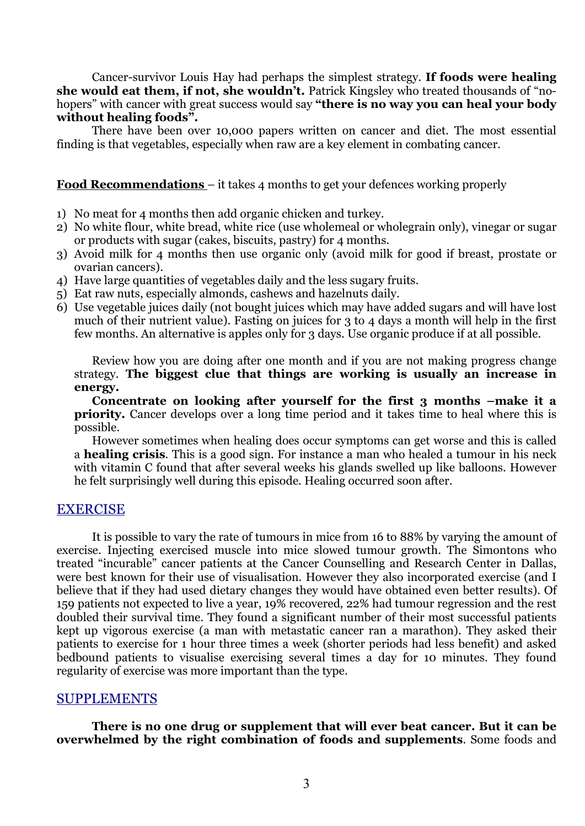Cancer-survivor Louis Hay had perhaps the simplest strategy. If foods were healing she would eat them, if not, she wouldn't. Patrick Kingsley who treated thousands of "nohopers" with cancer with great success would say "there is no way you can heal your body without healing foods".

 There have been over 10,000 papers written on cancer and diet. The most essential finding is that vegetables, especially when raw are a key element in combating cancer.

#### Food Recommendations – it takes 4 months to get your defences working properly

- 1) No meat for 4 months then add organic chicken and turkey.
- 2) No white flour, white bread, white rice (use wholemeal or wholegrain only), vinegar or sugar or products with sugar (cakes, biscuits, pastry) for 4 months.
- 3) Avoid milk for 4 months then use organic only (avoid milk for good if breast, prostate or ovarian cancers).
- 4) Have large quantities of vegetables daily and the less sugary fruits.
- 5) Eat raw nuts, especially almonds, cashews and hazelnuts daily.
- 6) Use vegetable juices daily (not bought juices which may have added sugars and will have lost much of their nutrient value). Fasting on juices for 3 to 4 days a month will help in the first few months. An alternative is apples only for 3 days. Use organic produce if at all possible.

Review how you are doing after one month and if you are not making progress change strategy. The biggest clue that things are working is usually an increase in energy.

Concentrate on looking after yourself for the first 3 months –make it a priority. Cancer develops over a long time period and it takes time to heal where this is possible.

However sometimes when healing does occur symptoms can get worse and this is called a healing crisis. This is a good sign. For instance a man who healed a tumour in his neck with vitamin C found that after several weeks his glands swelled up like balloons. However he felt surprisingly well during this episode. Healing occurred soon after.

# EXERCISE

 It is possible to vary the rate of tumours in mice from 16 to 88% by varying the amount of exercise. Injecting exercised muscle into mice slowed tumour growth. The Simontons who treated "incurable" cancer patients at the Cancer Counselling and Research Center in Dallas, were best known for their use of visualisation. However they also incorporated exercise (and I believe that if they had used dietary changes they would have obtained even better results). Of 159 patients not expected to live a year, 19% recovered, 22% had tumour regression and the rest doubled their survival time. They found a significant number of their most successful patients kept up vigorous exercise (a man with metastatic cancer ran a marathon). They asked their patients to exercise for 1 hour three times a week (shorter periods had less benefit) and asked bedbound patients to visualise exercising several times a day for 10 minutes. They found regularity of exercise was more important than the type.

# SUPPLEMENTS

There is no one drug or supplement that will ever beat cancer. But it can be overwhelmed by the right combination of foods and supplements. Some foods and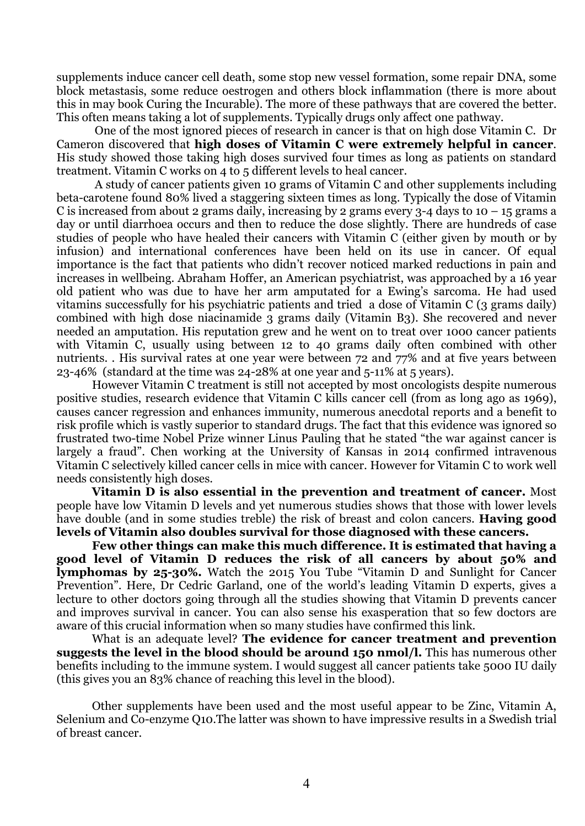supplements induce cancer cell death, some stop new vessel formation, some repair DNA, some block metastasis, some reduce oestrogen and others block inflammation (there is more about this in may book Curing the Incurable). The more of these pathways that are covered the better. This often means taking a lot of supplements. Typically drugs only affect one pathway.

 One of the most ignored pieces of research in cancer is that on high dose Vitamin C. Dr Cameron discovered that high doses of Vitamin C were extremely helpful in cancer. His study showed those taking high doses survived four times as long as patients on standard treatment. Vitamin C works on 4 to 5 different levels to heal cancer.

 A study of cancer patients given 10 grams of Vitamin C and other supplements including beta-carotene found 80% lived a staggering sixteen times as long. Typically the dose of Vitamin C is increased from about 2 grams daily, increasing by 2 grams every  $3-4$  days to  $10-15$  grams a day or until diarrhoea occurs and then to reduce the dose slightly. There are hundreds of case studies of people who have healed their cancers with Vitamin C (either given by mouth or by infusion) and international conferences have been held on its use in cancer. Of equal importance is the fact that patients who didn't recover noticed marked reductions in pain and increases in wellbeing. Abraham Hoffer, an American psychiatrist, was approached by a 16 year old patient who was due to have her arm amputated for a Ewing's sarcoma. He had used vitamins successfully for his psychiatric patients and tried a dose of Vitamin C (3 grams daily) combined with high dose niacinamide 3 grams daily (Vitamin B3). She recovered and never needed an amputation. His reputation grew and he went on to treat over 1000 cancer patients with Vitamin C, usually using between 12 to 40 grams daily often combined with other nutrients. . His survival rates at one year were between 72 and 77% and at five years between 23-46% (standard at the time was 24-28% at one year and 5-11% at 5 years).

However Vitamin C treatment is still not accepted by most oncologists despite numerous positive studies, research evidence that Vitamin C kills cancer cell (from as long ago as 1969), causes cancer regression and enhances immunity, numerous anecdotal reports and a benefit to risk profile which is vastly superior to standard drugs. The fact that this evidence was ignored so frustrated two-time Nobel Prize winner Linus Pauling that he stated "the war against cancer is largely a fraud". Chen working at the University of Kansas in 2014 confirmed intravenous Vitamin C selectively killed cancer cells in mice with cancer. However for Vitamin C to work well needs consistently high doses.

Vitamin D is also essential in the prevention and treatment of cancer. Most people have low Vitamin D levels and yet numerous studies shows that those with lower levels have double (and in some studies treble) the risk of breast and colon cancers. Having good levels of Vitamin also doubles survival for those diagnosed with these cancers.

Few other things can make this much difference. It is estimated that having a good level of Vitamin D reduces the risk of all cancers by about 50% and lymphomas by 25-30%. Watch the 2015 You Tube "Vitamin D and Sunlight for Cancer Prevention". Here, Dr Cedric Garland, one of the world's leading Vitamin D experts, gives a lecture to other doctors going through all the studies showing that Vitamin D prevents cancer and improves survival in cancer. You can also sense his exasperation that so few doctors are aware of this crucial information when so many studies have confirmed this link.

What is an adequate level? The evidence for cancer treatment and prevention suggests the level in the blood should be around 150 nmol/l. This has numerous other benefits including to the immune system. I would suggest all cancer patients take 5000 IU daily (this gives you an 83% chance of reaching this level in the blood).

Other supplements have been used and the most useful appear to be Zinc, Vitamin A, Selenium and Co-enzyme Q10.The latter was shown to have impressive results in a Swedish trial of breast cancer.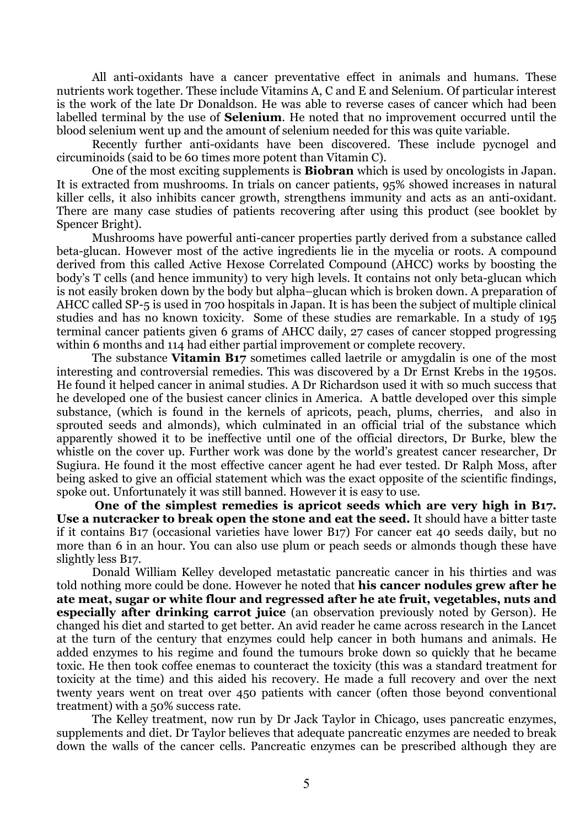All anti-oxidants have a cancer preventative effect in animals and humans. These nutrients work together. These include Vitamins A, C and E and Selenium. Of particular interest is the work of the late Dr Donaldson. He was able to reverse cases of cancer which had been labelled terminal by the use of **Selenium**. He noted that no improvement occurred until the blood selenium went up and the amount of selenium needed for this was quite variable.

 Recently further anti-oxidants have been discovered. These include pycnogel and circuminoids (said to be 60 times more potent than Vitamin C).

 One of the most exciting supplements is Biobran which is used by oncologists in Japan. It is extracted from mushrooms. In trials on cancer patients, 95% showed increases in natural killer cells, it also inhibits cancer growth, strengthens immunity and acts as an anti-oxidant. There are many case studies of patients recovering after using this product (see booklet by Spencer Bright).

 Mushrooms have powerful anti-cancer properties partly derived from a substance called beta-glucan. However most of the active ingredients lie in the mycelia or roots. A compound derived from this called Active Hexose Correlated Compound (AHCC) works by boosting the body's T cells (and hence immunity) to very high levels. It contains not only beta-glucan which is not easily broken down by the body but alpha–glucan which is broken down. A preparation of AHCC called SP-5 is used in 700 hospitals in Japan. It is has been the subject of multiple clinical studies and has no known toxicity. Some of these studies are remarkable. In a study of 195 terminal cancer patients given 6 grams of AHCC daily, 27 cases of cancer stopped progressing within 6 months and 114 had either partial improvement or complete recovery.

The substance Vitamin B17 sometimes called laetrile or amygdalin is one of the most interesting and controversial remedies. This was discovered by a Dr Ernst Krebs in the 1950s. He found it helped cancer in animal studies. A Dr Richardson used it with so much success that he developed one of the busiest cancer clinics in America. A battle developed over this simple substance, (which is found in the kernels of apricots, peach, plums, cherries, and also in sprouted seeds and almonds), which culminated in an official trial of the substance which apparently showed it to be ineffective until one of the official directors, Dr Burke, blew the whistle on the cover up. Further work was done by the world's greatest cancer researcher, Dr Sugiura. He found it the most effective cancer agent he had ever tested. Dr Ralph Moss, after being asked to give an official statement which was the exact opposite of the scientific findings, spoke out. Unfortunately it was still banned. However it is easy to use.

One of the simplest remedies is apricot seeds which are very high in B17. Use a nutcracker to break open the stone and eat the seed. It should have a bitter taste if it contains B17 (occasional varieties have lower B17) For cancer eat 40 seeds daily, but no more than 6 in an hour. You can also use plum or peach seeds or almonds though these have slightly less B17.

Donald William Kelley developed metastatic pancreatic cancer in his thirties and was told nothing more could be done. However he noted that **his cancer nodules grew after he** ate meat, sugar or white flour and regressed after he ate fruit, vegetables, nuts and especially after drinking carrot juice (an observation previously noted by Gerson). He changed his diet and started to get better. An avid reader he came across research in the Lancet at the turn of the century that enzymes could help cancer in both humans and animals. He added enzymes to his regime and found the tumours broke down so quickly that he became toxic. He then took coffee enemas to counteract the toxicity (this was a standard treatment for toxicity at the time) and this aided his recovery. He made a full recovery and over the next twenty years went on treat over 450 patients with cancer (often those beyond conventional treatment) with a 50% success rate.

The Kelley treatment, now run by Dr Jack Taylor in Chicago, uses pancreatic enzymes, supplements and diet. Dr Taylor believes that adequate pancreatic enzymes are needed to break down the walls of the cancer cells. Pancreatic enzymes can be prescribed although they are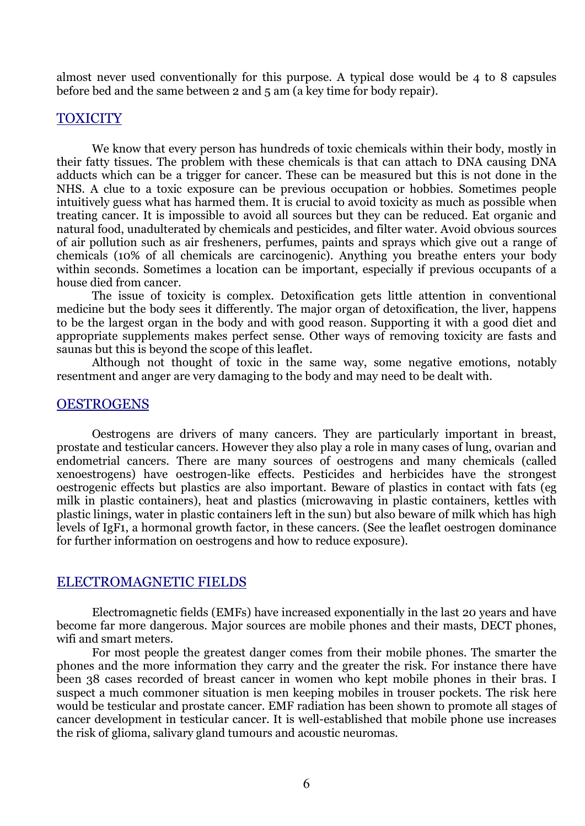almost never used conventionally for this purpose. A typical dose would be 4 to 8 capsules before bed and the same between 2 and 5 am (a key time for body repair).

## TOXICITY

We know that every person has hundreds of toxic chemicals within their body, mostly in their fatty tissues. The problem with these chemicals is that can attach to DNA causing DNA adducts which can be a trigger for cancer. These can be measured but this is not done in the NHS. A clue to a toxic exposure can be previous occupation or hobbies. Sometimes people intuitively guess what has harmed them. It is crucial to avoid toxicity as much as possible when treating cancer. It is impossible to avoid all sources but they can be reduced. Eat organic and natural food, unadulterated by chemicals and pesticides, and filter water. Avoid obvious sources of air pollution such as air fresheners, perfumes, paints and sprays which give out a range of chemicals (10% of all chemicals are carcinogenic). Anything you breathe enters your body within seconds. Sometimes a location can be important, especially if previous occupants of a house died from cancer.

The issue of toxicity is complex. Detoxification gets little attention in conventional medicine but the body sees it differently. The major organ of detoxification, the liver, happens to be the largest organ in the body and with good reason. Supporting it with a good diet and appropriate supplements makes perfect sense. Other ways of removing toxicity are fasts and saunas but this is beyond the scope of this leaflet.

Although not thought of toxic in the same way, some negative emotions, notably resentment and anger are very damaging to the body and may need to be dealt with.

# **OESTROGENS**

Oestrogens are drivers of many cancers. They are particularly important in breast, prostate and testicular cancers. However they also play a role in many cases of lung, ovarian and endometrial cancers. There are many sources of oestrogens and many chemicals (called xenoestrogens) have oestrogen-like effects. Pesticides and herbicides have the strongest oestrogenic effects but plastics are also important. Beware of plastics in contact with fats (eg milk in plastic containers), heat and plastics (microwaving in plastic containers, kettles with plastic linings, water in plastic containers left in the sun) but also beware of milk which has high levels of IgF1, a hormonal growth factor, in these cancers. (See the leaflet oestrogen dominance for further information on oestrogens and how to reduce exposure).

### ELECTROMAGNETIC FIELDS

Electromagnetic fields (EMFs) have increased exponentially in the last 20 years and have become far more dangerous. Major sources are mobile phones and their masts, DECT phones, wifi and smart meters.

For most people the greatest danger comes from their mobile phones. The smarter the phones and the more information they carry and the greater the risk. For instance there have been 38 cases recorded of breast cancer in women who kept mobile phones in their bras. I suspect a much commoner situation is men keeping mobiles in trouser pockets. The risk here would be testicular and prostate cancer. EMF radiation has been shown to promote all stages of cancer development in testicular cancer. It is well-established that mobile phone use increases the risk of glioma, salivary gland tumours and acoustic neuromas.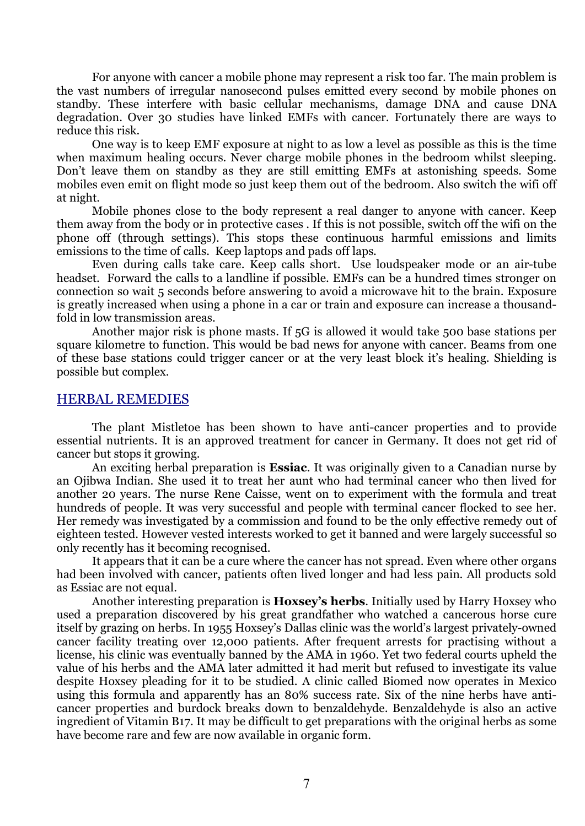For anyone with cancer a mobile phone may represent a risk too far. The main problem is the vast numbers of irregular nanosecond pulses emitted every second by mobile phones on standby. These interfere with basic cellular mechanisms, damage DNA and cause DNA degradation. Over 30 studies have linked EMFs with cancer. Fortunately there are ways to reduce this risk.

One way is to keep EMF exposure at night to as low a level as possible as this is the time when maximum healing occurs. Never charge mobile phones in the bedroom whilst sleeping. Don't leave them on standby as they are still emitting EMFs at astonishing speeds. Some mobiles even emit on flight mode so just keep them out of the bedroom. Also switch the wifi off at night.

Mobile phones close to the body represent a real danger to anyone with cancer. Keep them away from the body or in protective cases . If this is not possible, switch off the wifi on the phone off (through settings). This stops these continuous harmful emissions and limits emissions to the time of calls. Keep laptops and pads off laps.

Even during calls take care. Keep calls short. Use loudspeaker mode or an air-tube headset. Forward the calls to a landline if possible. EMFs can be a hundred times stronger on connection so wait 5 seconds before answering to avoid a microwave hit to the brain. Exposure is greatly increased when using a phone in a car or train and exposure can increase a thousandfold in low transmission areas.

Another major risk is phone masts. If 5G is allowed it would take 500 base stations per square kilometre to function. This would be bad news for anyone with cancer. Beams from one of these base stations could trigger cancer or at the very least block it's healing. Shielding is possible but complex.

# HERBAL REMEDIES

 The plant Mistletoe has been shown to have anti-cancer properties and to provide essential nutrients. It is an approved treatment for cancer in Germany. It does not get rid of cancer but stops it growing.

An exciting herbal preparation is **Essiac**. It was originally given to a Canadian nurse by an Ojibwa Indian. She used it to treat her aunt who had terminal cancer who then lived for another 20 years. The nurse Rene Caisse, went on to experiment with the formula and treat hundreds of people. It was very successful and people with terminal cancer flocked to see her. Her remedy was investigated by a commission and found to be the only effective remedy out of eighteen tested. However vested interests worked to get it banned and were largely successful so only recently has it becoming recognised.

 It appears that it can be a cure where the cancer has not spread. Even where other organs had been involved with cancer, patients often lived longer and had less pain. All products sold as Essiac are not equal.

 Another interesting preparation is Hoxsey's herbs. Initially used by Harry Hoxsey who used a preparation discovered by his great grandfather who watched a cancerous horse cure itself by grazing on herbs. In 1955 Hoxsey's Dallas clinic was the world's largest privately-owned cancer facility treating over 12,000 patients. After frequent arrests for practising without a license, his clinic was eventually banned by the AMA in 1960. Yet two federal courts upheld the value of his herbs and the AMA later admitted it had merit but refused to investigate its value despite Hoxsey pleading for it to be studied. A clinic called Biomed now operates in Mexico using this formula and apparently has an 80% success rate. Six of the nine herbs have anticancer properties and burdock breaks down to benzaldehyde. Benzaldehyde is also an active ingredient of Vitamin B17. It may be difficult to get preparations with the original herbs as some have become rare and few are now available in organic form.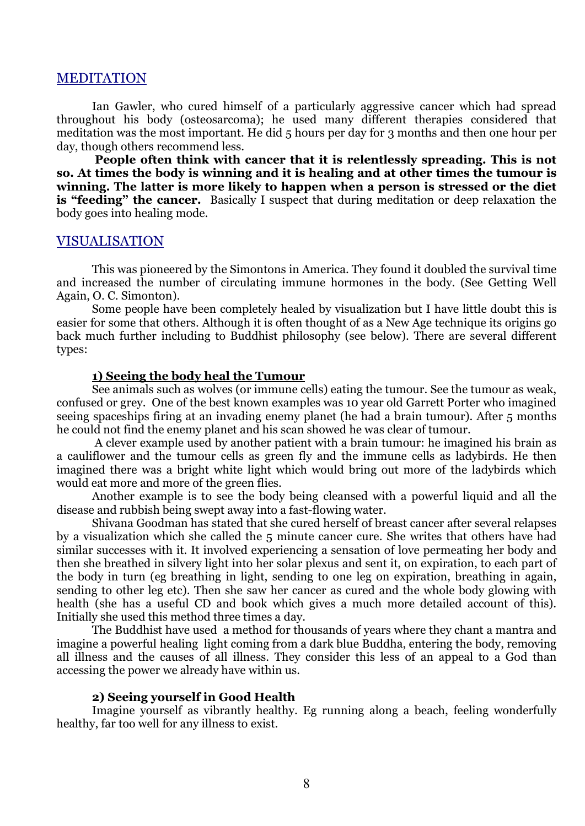### MEDITATION

 Ian Gawler, who cured himself of a particularly aggressive cancer which had spread throughout his body (osteosarcoma); he used many different therapies considered that meditation was the most important. He did 5 hours per day for 3 months and then one hour per day, though others recommend less.

 People often think with cancer that it is relentlessly spreading. This is not so. At times the body is winning and it is healing and at other times the tumour is winning. The latter is more likely to happen when a person is stressed or the diet is "feeding" the cancer. Basically I suspect that during meditation or deep relaxation the body goes into healing mode.

# VISUALISATION

 This was pioneered by the Simontons in America. They found it doubled the survival time and increased the number of circulating immune hormones in the body. (See Getting Well Again, O. C. Simonton).

 Some people have been completely healed by visualization but I have little doubt this is easier for some that others. Although it is often thought of as a New Age technique its origins go back much further including to Buddhist philosophy (see below). There are several different types:

### 1) Seeing the body heal the Tumour

See animals such as wolves (or immune cells) eating the tumour. See the tumour as weak, confused or grey. One of the best known examples was 10 year old Garrett Porter who imagined seeing spaceships firing at an invading enemy planet (he had a brain tumour). After 5 months he could not find the enemy planet and his scan showed he was clear of tumour.

 A clever example used by another patient with a brain tumour: he imagined his brain as a cauliflower and the tumour cells as green fly and the immune cells as ladybirds. He then imagined there was a bright white light which would bring out more of the ladybirds which would eat more and more of the green flies.

Another example is to see the body being cleansed with a powerful liquid and all the disease and rubbish being swept away into a fast-flowing water.

Shivana Goodman has stated that she cured herself of breast cancer after several relapses by a visualization which she called the 5 minute cancer cure. She writes that others have had similar successes with it. It involved experiencing a sensation of love permeating her body and then she breathed in silvery light into her solar plexus and sent it, on expiration, to each part of the body in turn (eg breathing in light, sending to one leg on expiration, breathing in again, sending to other leg etc). Then she saw her cancer as cured and the whole body glowing with health (she has a useful CD and book which gives a much more detailed account of this). Initially she used this method three times a day.

The Buddhist have used a method for thousands of years where they chant a mantra and imagine a powerful healing light coming from a dark blue Buddha, entering the body, removing all illness and the causes of all illness. They consider this less of an appeal to a God than accessing the power we already have within us.

## 2) Seeing yourself in Good Health

 Imagine yourself as vibrantly healthy. Eg running along a beach, feeling wonderfully healthy, far too well for any illness to exist.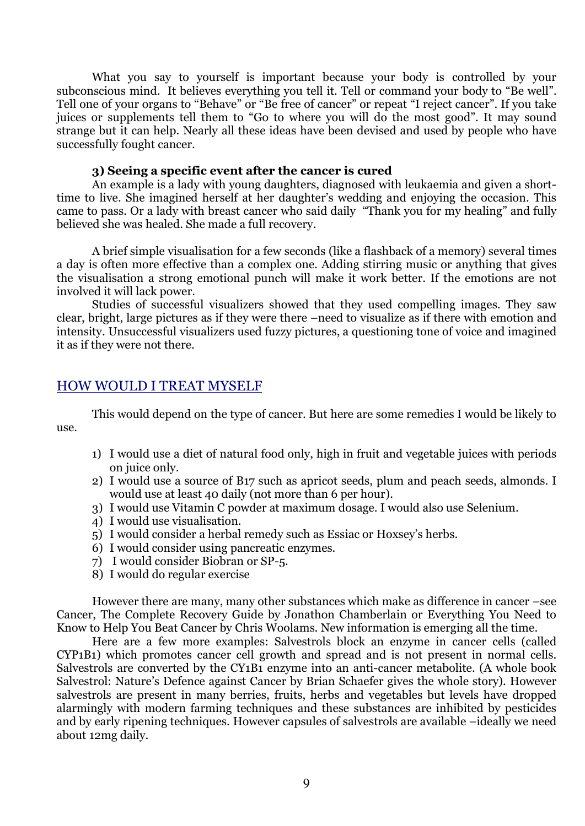What you say to yourself is important because your body is controlled by your subconscious mind. It believes everything you tell it. Tell or command your body to "Be well". Tell one of your organs to "Behave" or "Be free of cancer" or repeat "I reject cancer". If you take juices or supplements tell them to "Go to where you will do the most good". It may sound strange but it can help. Nearly all these ideas have been devised and used by people who have successfully fought cancer.

### 3) Seeing a specific event after the cancer is cured

 An example is a lady with young daughters, diagnosed with leukaemia and given a shorttime to live. She imagined herself at her daughter's wedding and enjoying the occasion. This came to pass. Or a lady with breast cancer who said daily "Thank you for my healing" and fully believed she was healed. She made a full recovery.

 A brief simple visualisation for a few seconds (like a flashback of a memory) several times a day is often more effective than a complex one. Adding stirring music or anything that gives the visualisation a strong emotional punch will make it work better. If the emotions are not involved it will lack power.

 Studies of successful visualizers showed that they used compelling images. They saw clear, bright, large pictures as if they were there –need to visualize as if there with emotion and intensity. Unsuccessful visualizers used fuzzy pictures, a questioning tone of voice and imagined it as if they were not there.

# HOW WOULD I TREAT MYSELF

 This would depend on the type of cancer. But here are some remedies I would be likely to  $_{11}$ se.

- 1) I would use a diet of natural food only, high in fruit and vegetable juices with periods on juice only.
- 2) I would use a source of B17 such as apricot seeds, plum and peach seeds, almonds. I would use at least 40 daily (not more than 6 per hour).
- 3) I would use Vitamin C powder at maximum dosage. I would also use Selenium.
- 4) I would use visualisation.
- 5) I would consider a herbal remedy such as Essiac or Hoxsey's herbs.
- 6) I would consider using pancreatic enzymes.
- 7) I would consider Biobran or SP-5.
- 8) I would do regular exercise

However there are many, many other substances which make as difference in cancer –see Cancer, The Complete Recovery Guide by Jonathon Chamberlain or Everything You Need to Know to Help You Beat Cancer by Chris Woolams. New information is emerging all the time.

 Here are a few more examples: Salvestrols block an enzyme in cancer cells (called CYP1B1) which promotes cancer cell growth and spread and is not present in normal cells. Salvestrols are converted by the CY1B1 enzyme into an anti-cancer metabolite. (A whole book Salvestrol: Nature's Defence against Cancer by Brian Schaefer gives the whole story). However salvestrols are present in many berries, fruits, herbs and vegetables but levels have dropped alarmingly with modern farming techniques and these substances are inhibited by pesticides and by early ripening techniques. However capsules of salvestrols are available –ideally we need about 12mg daily.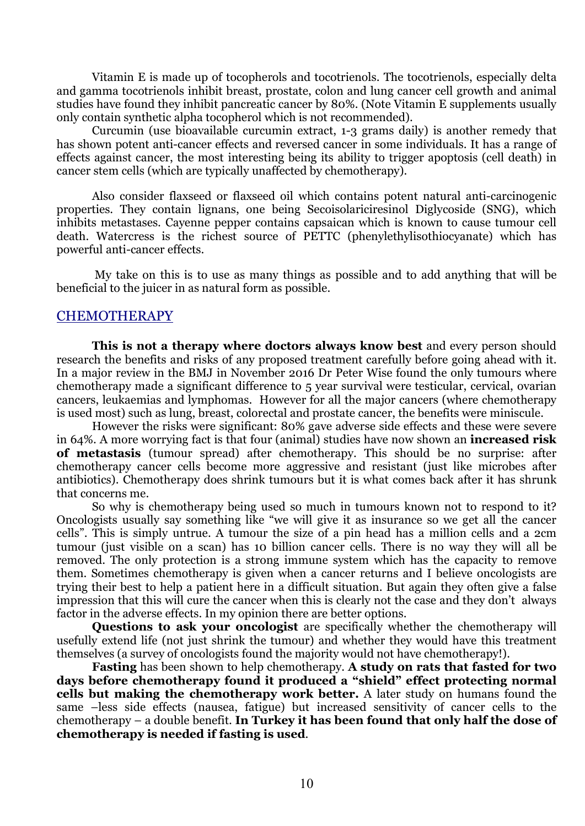Vitamin E is made up of tocopherols and tocotrienols. The tocotrienols, especially delta and gamma tocotrienols inhibit breast, prostate, colon and lung cancer cell growth and animal studies have found they inhibit pancreatic cancer by 80%. (Note Vitamin E supplements usually only contain synthetic alpha tocopherol which is not recommended).

 Curcumin (use bioavailable curcumin extract, 1-3 grams daily) is another remedy that has shown potent anti-cancer effects and reversed cancer in some individuals. It has a range of effects against cancer, the most interesting being its ability to trigger apoptosis (cell death) in cancer stem cells (which are typically unaffected by chemotherapy).

 Also consider flaxseed or flaxseed oil which contains potent natural anti-carcinogenic properties. They contain lignans, one being Secoisolariciresinol Diglycoside (SNG), which inhibits metastases. Cayenne pepper contains capsaican which is known to cause tumour cell death. Watercress is the richest source of PETTC (phenylethylisothiocyanate) which has powerful anti-cancer effects.

 My take on this is to use as many things as possible and to add anything that will be beneficial to the juicer in as natural form as possible.

# CHEMOTHERAPY

This is not a therapy where doctors always know best and every person should research the benefits and risks of any proposed treatment carefully before going ahead with it. In a major review in the BMJ in November 2016 Dr Peter Wise found the only tumours where chemotherapy made a significant difference to 5 year survival were testicular, cervical, ovarian cancers, leukaemias and lymphomas. However for all the major cancers (where chemotherapy is used most) such as lung, breast, colorectal and prostate cancer, the benefits were miniscule.

However the risks were significant: 80% gave adverse side effects and these were severe in 64%. A more worrying fact is that four (animal) studies have now shown an **increased risk** of metastasis (tumour spread) after chemotherapy. This should be no surprise: after chemotherapy cancer cells become more aggressive and resistant (just like microbes after antibiotics). Chemotherapy does shrink tumours but it is what comes back after it has shrunk that concerns me.

So why is chemotherapy being used so much in tumours known not to respond to it? Oncologists usually say something like "we will give it as insurance so we get all the cancer cells". This is simply untrue. A tumour the size of a pin head has a million cells and a 2cm tumour (just visible on a scan) has 10 billion cancer cells. There is no way they will all be removed. The only protection is a strong immune system which has the capacity to remove them. Sometimes chemotherapy is given when a cancer returns and I believe oncologists are trying their best to help a patient here in a difficult situation. But again they often give a false impression that this will cure the cancer when this is clearly not the case and they don't always factor in the adverse effects. In my opinion there are better options.

Questions to ask your oncologist are specifically whether the chemotherapy will usefully extend life (not just shrink the tumour) and whether they would have this treatment themselves (a survey of oncologists found the majority would not have chemotherapy!).

Fasting has been shown to help chemotherapy. A study on rats that fasted for two days before chemotherapy found it produced a "shield" effect protecting normal cells but making the chemotherapy work better. A later study on humans found the same –less side effects (nausea, fatigue) but increased sensitivity of cancer cells to the chemotherapy – a double benefit. In Turkey it has been found that only half the dose of chemotherapy is needed if fasting is used.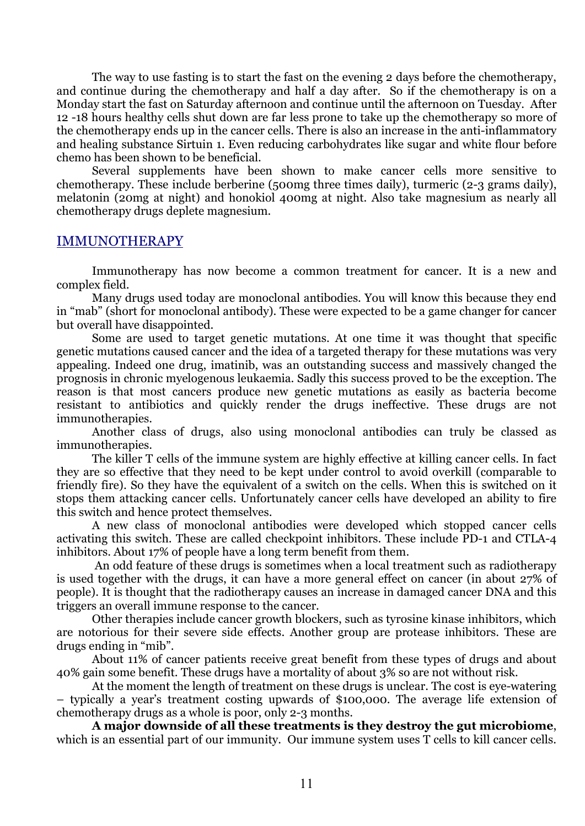The way to use fasting is to start the fast on the evening 2 days before the chemotherapy, and continue during the chemotherapy and half a day after. So if the chemotherapy is on a Monday start the fast on Saturday afternoon and continue until the afternoon on Tuesday. After 12 -18 hours healthy cells shut down are far less prone to take up the chemotherapy so more of the chemotherapy ends up in the cancer cells. There is also an increase in the anti-inflammatory and healing substance Sirtuin 1. Even reducing carbohydrates like sugar and white flour before chemo has been shown to be beneficial.

Several supplements have been shown to make cancer cells more sensitive to chemotherapy. These include berberine (500mg three times daily), turmeric (2-3 grams daily), melatonin (20mg at night) and honokiol 400mg at night. Also take magnesium as nearly all chemotherapy drugs deplete magnesium.

# IMMUNOTHERAPY

Immunotherapy has now become a common treatment for cancer. It is a new and complex field.

Many drugs used today are monoclonal antibodies. You will know this because they end in "mab" (short for monoclonal antibody). These were expected to be a game changer for cancer but overall have disappointed.

Some are used to target genetic mutations. At one time it was thought that specific genetic mutations caused cancer and the idea of a targeted therapy for these mutations was very appealing. Indeed one drug, imatinib, was an outstanding success and massively changed the prognosis in chronic myelogenous leukaemia. Sadly this success proved to be the exception. The reason is that most cancers produce new genetic mutations as easily as bacteria become resistant to antibiotics and quickly render the drugs ineffective. These drugs are not immunotherapies.

Another class of drugs, also using monoclonal antibodies can truly be classed as immunotherapies.

The killer T cells of the immune system are highly effective at killing cancer cells. In fact they are so effective that they need to be kept under control to avoid overkill (comparable to friendly fire). So they have the equivalent of a switch on the cells. When this is switched on it stops them attacking cancer cells. Unfortunately cancer cells have developed an ability to fire this switch and hence protect themselves.

A new class of monoclonal antibodies were developed which stopped cancer cells activating this switch. These are called checkpoint inhibitors. These include PD-1 and CTLA-4 inhibitors. About 17% of people have a long term benefit from them.

 An odd feature of these drugs is sometimes when a local treatment such as radiotherapy is used together with the drugs, it can have a more general effect on cancer (in about 27% of people). It is thought that the radiotherapy causes an increase in damaged cancer DNA and this triggers an overall immune response to the cancer.

Other therapies include cancer growth blockers, such as tyrosine kinase inhibitors, which are notorious for their severe side effects. Another group are protease inhibitors. These are drugs ending in "mib".

About 11% of cancer patients receive great benefit from these types of drugs and about 40% gain some benefit. These drugs have a mortality of about 3% so are not without risk.

At the moment the length of treatment on these drugs is unclear. The cost is eye-watering – typically a year's treatment costing upwards of \$100,000. The average life extension of chemotherapy drugs as a whole is poor, only 2-3 months.

A major downside of all these treatments is they destroy the gut microbiome, which is an essential part of our immunity. Our immune system uses T cells to kill cancer cells.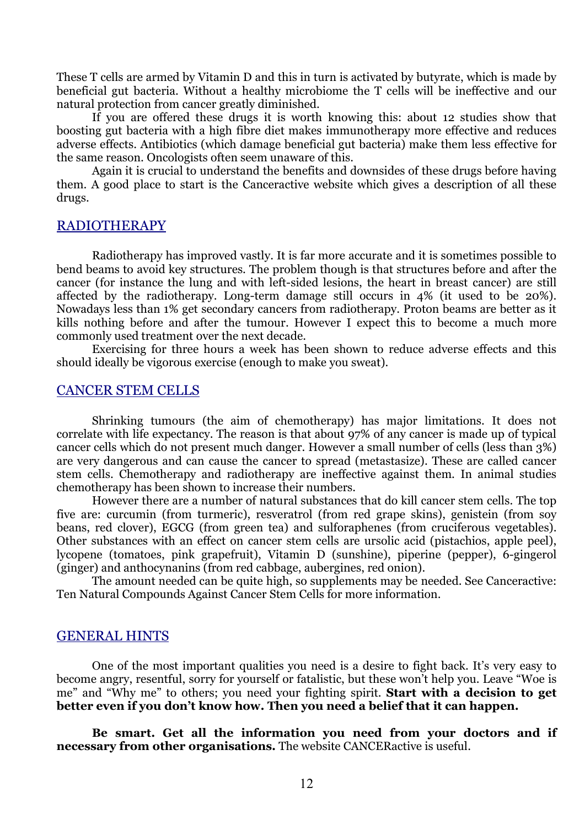These T cells are armed by Vitamin D and this in turn is activated by butyrate, which is made by beneficial gut bacteria. Without a healthy microbiome the T cells will be ineffective and our natural protection from cancer greatly diminished.

If you are offered these drugs it is worth knowing this: about 12 studies show that boosting gut bacteria with a high fibre diet makes immunotherapy more effective and reduces adverse effects. Antibiotics (which damage beneficial gut bacteria) make them less effective for the same reason. Oncologists often seem unaware of this.

Again it is crucial to understand the benefits and downsides of these drugs before having them. A good place to start is the Canceractive website which gives a description of all these drugs.

# RADIOTHERAPY

Radiotherapy has improved vastly. It is far more accurate and it is sometimes possible to bend beams to avoid key structures. The problem though is that structures before and after the cancer (for instance the lung and with left-sided lesions, the heart in breast cancer) are still affected by the radiotherapy. Long-term damage still occurs in 4% (it used to be 20%). Nowadays less than 1% get secondary cancers from radiotherapy. Proton beams are better as it kills nothing before and after the tumour. However I expect this to become a much more commonly used treatment over the next decade.

Exercising for three hours a week has been shown to reduce adverse effects and this should ideally be vigorous exercise (enough to make you sweat).

# CANCER STEM CELLS

 Shrinking tumours (the aim of chemotherapy) has major limitations. It does not correlate with life expectancy. The reason is that about 97% of any cancer is made up of typical cancer cells which do not present much danger. However a small number of cells (less than 3%) are very dangerous and can cause the cancer to spread (metastasize). These are called cancer stem cells. Chemotherapy and radiotherapy are ineffective against them. In animal studies chemotherapy has been shown to increase their numbers.

 However there are a number of natural substances that do kill cancer stem cells. The top five are: curcumin (from turmeric), resveratrol (from red grape skins), genistein (from soy beans, red clover), EGCG (from green tea) and sulforaphenes (from cruciferous vegetables). Other substances with an effect on cancer stem cells are ursolic acid (pistachios, apple peel), lycopene (tomatoes, pink grapefruit), Vitamin D (sunshine), piperine (pepper), 6-gingerol (ginger) and anthocynanins (from red cabbage, aubergines, red onion).

 The amount needed can be quite high, so supplements may be needed. See Canceractive: Ten Natural Compounds Against Cancer Stem Cells for more information.

# GENERAL HINTS

 One of the most important qualities you need is a desire to fight back. It's very easy to become angry, resentful, sorry for yourself or fatalistic, but these won't help you. Leave "Woe is me" and "Why me" to others; you need your fighting spirit. Start with a decision to get better even if you don't know how. Then you need a belief that it can happen.

Be smart. Get all the information you need from your doctors and if necessary from other organisations. The website CANCERactive is useful.